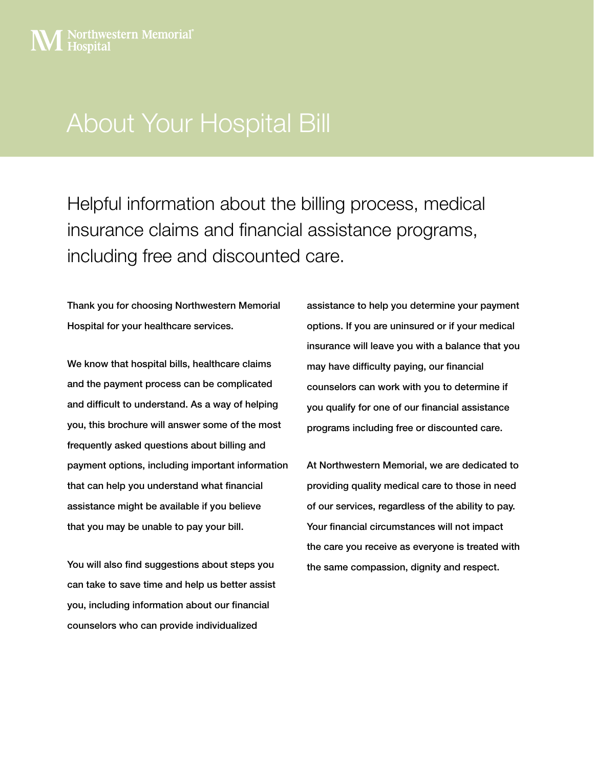# About Your Hospital Bill

Helpful information about the billing process, medical insurance claims and financial assistance programs, including free and discounted care.

Thank you for choosing Northwestern Memorial Hospital for your healthcare services.

We know that hospital bills, healthcare claims and the payment process can be complicated and difficult to understand. As a way of helping you, this brochure will answer some of the most frequently asked questions about billing and payment options, including important information that can help you understand what financial assistance might be available if you believe that you may be unable to pay your bill.

You will also find suggestions about steps you can take to save time and help us better assist you, including information about our financial counselors who can provide individualized

assistance to help you determine your payment options. If you are uninsured or if your medical insurance will leave you with a balance that you may have difficulty paying, our financial counselors can work with you to determine if you qualify for one of our financial assistance programs including free or discounted care.

At Northwestern Memorial, we are dedicated to providing quality medical care to those in need of our services, regardless of the ability to pay. Your financial circumstances will not impact the care you receive as everyone is treated with the same compassion, dignity and respect.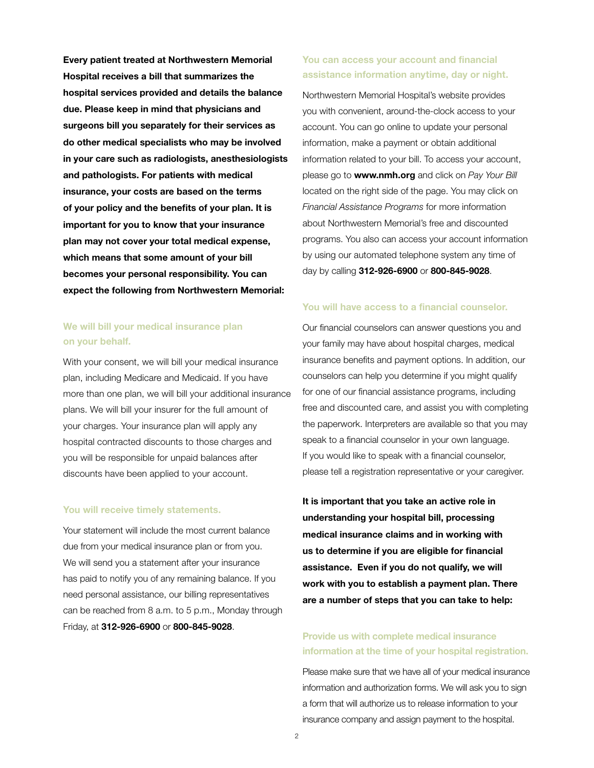**Every patient treated at Northwestern Memorial Hospital receives a bill that summarizes the hospital services provided and details the balance due. Please keep in mind that physicians and surgeons bill you separately for their services as do other medical specialists who may be involved in your care such as radiologists, anesthesiologists and pathologists. For patients with medical insurance, your costs are based on the terms of your policy and the benefits of your plan. It is important for you to know that your insurance plan may not cover your total medical expense, which means that some amount of your bill becomes your personal responsibility. You can expect the following from Northwestern Memorial:**

## **We will bill your medical insurance plan on your behalf.**

With your consent, we will bill your medical insurance plan, including Medicare and Medicaid. If you have more than one plan, we will bill your additional insurance plans. We will bill your insurer for the full amount of your charges. Your insurance plan will apply any hospital contracted discounts to those charges and you will be responsible for unpaid balances after discounts have been applied to your account.

#### **You will receive timely statements.**

Your statement will include the most current balance due from your medical insurance plan or from you. We will send you a statement after your insurance has paid to notify you of any remaining balance. If you need personal assistance, our billing representatives can be reached from 8 a.m. to 5 p.m., Monday through Friday, at **312-926-6900** or **800-845-9028**.

## **You can access your account and financial assistance information anytime, day or night.**

Northwestern Memorial Hospital's website provides you with convenient, around-the-clock access to your account. You can go online to update your personal information, make a payment or obtain additional information related to your bill. To access your account, please go to **www.nmh.org** and click on *Pay Your Bill* located on the right side of the page. You may click on *Financial Assistance Programs* for more information about Northwestern Memorial's free and discounted programs. You also can access your account information by using our automated telephone system any time of day by calling **312-926-6900** or **800-845-9028**.

#### **You will have access to a financial counselor.**

Our financial counselors can answer questions you and your family may have about hospital charges, medical insurance benefits and payment options. In addition, our counselors can help you determine if you might qualify for one of our financial assistance programs, including free and discounted care, and assist you with completing the paperwork. Interpreters are available so that you may speak to a financial counselor in your own language. If you would like to speak with a financial counselor, please tell a registration representative or your caregiver.

**It is important that you take an active role in understanding your hospital bill, processing medical insurance claims and in working with us to determine if you are eligible for financial assistance. Even if you do not qualify, we will work with you to establish a payment plan. There are a number of steps that you can take to help:**

## **Provide us with complete medical insurance information at the time of your hospital registration.**

Please make sure that we have all of your medical insurance information and authorization forms. We will ask you to sign a form that will authorize us to release information to your insurance company and assign payment to the hospital.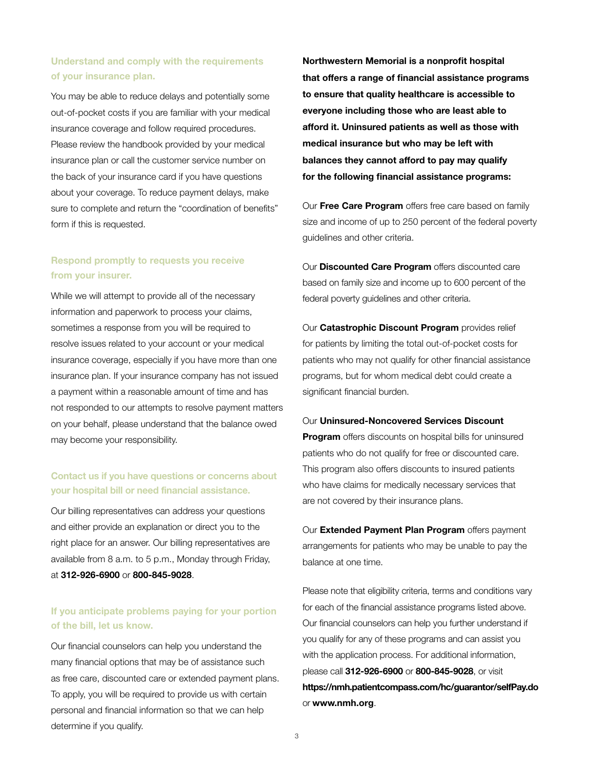## **Understand and comply with the requirements of your insurance plan.**

You may be able to reduce delays and potentially some out-of-pocket costs if you are familiar with your medical insurance coverage and follow required procedures. Please review the handbook provided by your medical insurance plan or call the customer service number on the back of your insurance card if you have questions about your coverage. To reduce payment delays, make sure to complete and return the "coordination of benefits" form if this is requested.

## **Respond promptly to requests you receive from your insurer.**

While we will attempt to provide all of the necessary information and paperwork to process your claims, sometimes a response from you will be required to resolve issues related to your account or your medical insurance coverage, especially if you have more than one insurance plan. If your insurance company has not issued a payment within a reasonable amount of time and has not responded to our attempts to resolve payment matters on your behalf, please understand that the balance owed may become your responsibility.

## **Contact us if you have questions or concerns about your hospital bill or need financial assistance.**

Our billing representatives can address your questions and either provide an explanation or direct you to the right place for an answer. Our billing representatives are available from 8 a.m. to 5 p.m., Monday through Friday, at **312-926-6900** or **800-845-9028**.

#### **If you anticipate problems paying for your portion of the bill, let us know.**

Our financial counselors can help you understand the many financial options that may be of assistance such as free care, discounted care or extended payment plans. To apply, you will be required to provide us with certain personal and financial information so that we can help determine if you qualify.

**Northwestern Memorial is a nonprofit hospital that offers a range of financial assistance programs to ensure that quality healthcare is accessible to everyone including those who are least able to afford it. Uninsured patients as well as those with medical insurance but who may be left with balances they cannot afford to pay may qualify for the following financial assistance programs:** 

Our **Free Care Program** offers free care based on family size and income of up to 250 percent of the federal poverty guidelines and other criteria.

Our **Discounted Care Program** offers discounted care based on family size and income up to 600 percent of the federal poverty guidelines and other criteria.

Our **Catastrophic Discount Program** provides relief for patients by limiting the total out-of-pocket costs for patients who may not qualify for other financial assistance programs, but for whom medical debt could create a significant financial burden.

#### Our **Uninsured-Noncovered Services Discount**

**Program** offers discounts on hospital bills for uninsured patients who do not qualify for free or discounted care. This program also offers discounts to insured patients who have claims for medically necessary services that are not covered by their insurance plans.

Our **Extended Payment Plan Program** offers payment arrangements for patients who may be unable to pay the balance at one time.

Please note that eligibility criteria, terms and conditions vary for each of the financial assistance programs listed above. Our financial counselors can help you further understand if you qualify for any of these programs and can assist you with the application process. For additional information, please call **312-926-6900** or **800-845-9028**, or visit **https://nmh.patientcompass.com/hc/guarantor/selfPay.do**  or **www.nmh.org**.